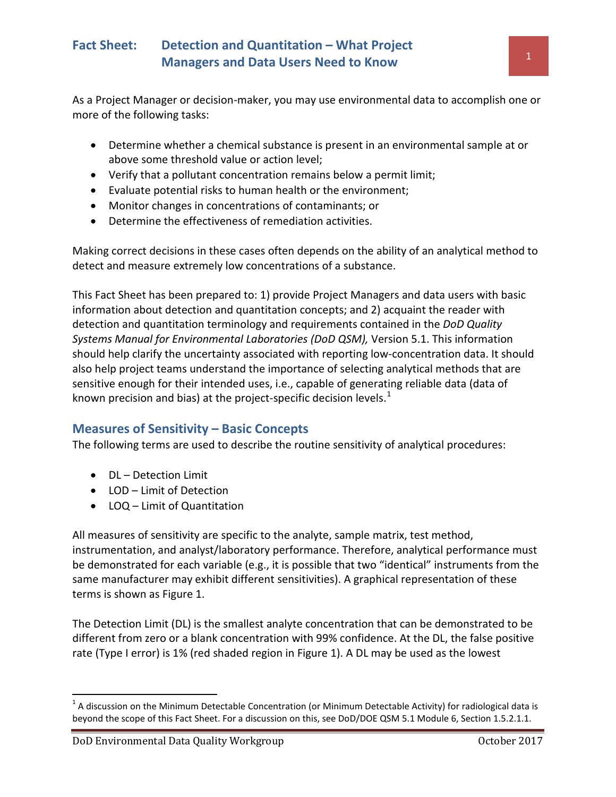As a Project Manager or decision-maker, you may use environmental data to accomplish one or more of the following tasks:

- Determine whether a chemical substance is present in an environmental sample at or above some threshold value or action level;
- Verify that a pollutant concentration remains below a permit limit;
- Evaluate potential risks to human health or the environment;
- Monitor changes in concentrations of contaminants; or
- Determine the effectiveness of remediation activities.

Making correct decisions in these cases often depends on the ability of an analytical method to detect and measure extremely low concentrations of a substance.

This Fact Sheet has been prepared to: 1) provide Project Managers and data users with basic information about detection and quantitation concepts; and 2) acquaint the reader with detection and quantitation terminology and requirements contained in the *DoD Quality Systems Manual for Environmental Laboratories (DoD QSM),* Version 5.1. This information should help clarify the uncertainty associated with reporting low-concentration data. It should also help project teams understand the importance of selecting analytical methods that are sensitive enough for their intended uses, i.e., capable of generating reliable data (data of known precision and bias) at the project-specific decision levels.<sup>[1](#page-0-0)</sup>

### **Measures of Sensitivity – Basic Concepts**

The following terms are used to describe the routine sensitivity of analytical procedures:

- DL Detection Limit
- LOD Limit of Detection
- LOQ Limit of Quantitation

All measures of sensitivity are specific to the analyte, sample matrix, test method, instrumentation, and analyst/laboratory performance. Therefore, analytical performance must be demonstrated for each variable (e.g., it is possible that two "identical" instruments from the same manufacturer may exhibit different sensitivities). A graphical representation of these terms is shown as Figure 1.

The Detection Limit (DL) is the smallest analyte concentration that can be demonstrated to be different from zero or a blank concentration with 99% confidence. At the DL, the false positive rate (Type I error) is 1% (red shaded region in Figure 1). A DL may be used as the lowest

<span id="page-0-0"></span> $1$  A discussion on the Minimum Detectable Concentration (or Minimum Detectable Activity) for radiological data is beyond the scope of this Fact Sheet. For a discussion on this, see DoD/DOE QSM 5.1 Module 6, Section 1.5.2.1.1.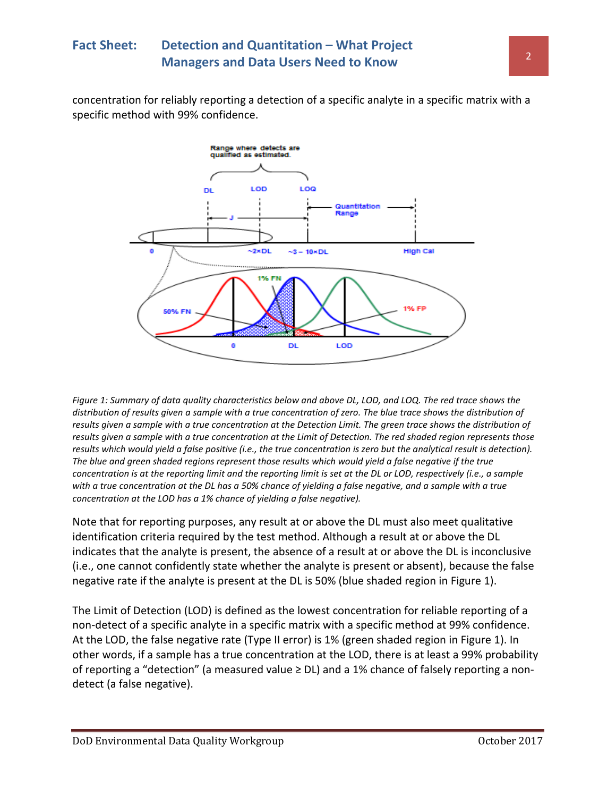## **Fact Sheet: Detection and Quantitation – What Project Managers and Data Users Need to Know 2018 2019 12:20 20:30 20:40 20:40 20:40 20:40 20:40 20:40 20:40 20:40 20:40 20:40 20:40 20:40 20:40 20:40 20:40 20:40 20:40 20:40 20:40 20:40 20:40 20:40 20:40 20:40 20:40 20:40 20:40**

concentration for reliably reporting a detection of a specific analyte in a specific matrix with a specific method with 99% confidence.



*Figure 1: Summary of data quality characteristics below and above DL, LOD, and LOQ. The red trace shows the distribution of results given a sample with a true concentration of zero. The blue trace shows the distribution of results given a sample with a true concentration at the Detection Limit. The green trace shows the distribution of results given a sample with a true concentration at the Limit of Detection. The red shaded region represents those results which would yield a false positive (i.e., the true concentration is zero but the analytical result is detection). The blue and green shaded regions represent those results which would yield a false negative if the true concentration is at the reporting limit and the reporting limit is set at the DL or LOD, respectively (i.e., a sample with a true concentration at the DL has a 50% chance of yielding a false negative, and a sample with a true concentration at the LOD has a 1% chance of yielding a false negative).* 

Note that for reporting purposes, any result at or above the DL must also meet qualitative identification criteria required by the test method. Although a result at or above the DL indicates that the analyte is present, the absence of a result at or above the DL is inconclusive (i.e., one cannot confidently state whether the analyte is present or absent), because the false negative rate if the analyte is present at the DL is 50% (blue shaded region in Figure 1).

The Limit of Detection (LOD) is defined as the lowest concentration for reliable reporting of a non-detect of a specific analyte in a specific matrix with a specific method at 99% confidence. At the LOD, the false negative rate (Type II error) is 1% (green shaded region in Figure 1). In other words, if a sample has a true concentration at the LOD, there is at least a 99% probability of reporting a "detection" (a measured value ≥ DL) and a 1% chance of falsely reporting a nondetect (a false negative).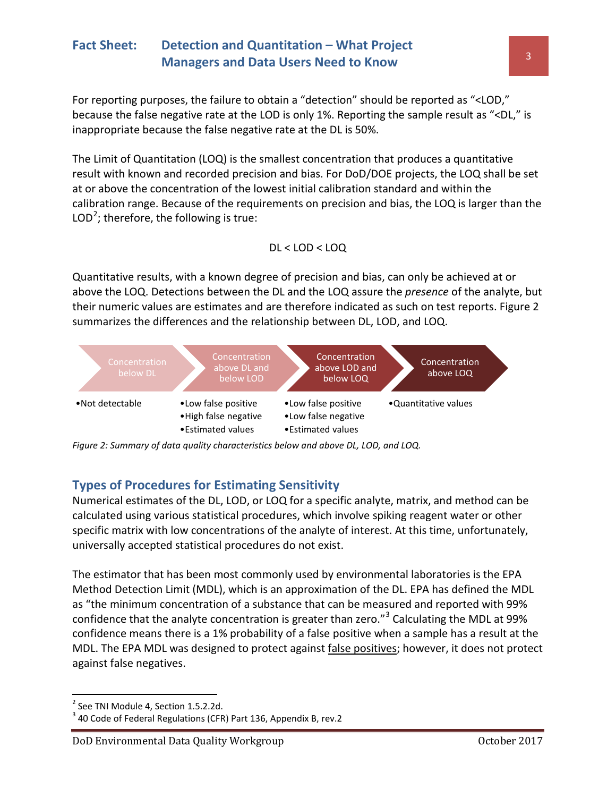For reporting purposes, the failure to obtain a "detection" should be reported as "<LOD," because the false negative rate at the LOD is only 1%. Reporting the sample result as "<DL," is inappropriate because the false negative rate at the DL is 50%.

The Limit of Quantitation (LOQ) is the smallest concentration that produces a quantitative result with known and recorded precision and bias. For DoD/DOE projects, the LOQ shall be set at or above the concentration of the lowest initial calibration standard and within the calibration range. Because of the requirements on precision and bias, the LOQ is larger than the LOD<sup>[2](#page-2-0)</sup>; therefore, the following is true:

### DL < LOD < LOQ

Quantitative results, with a known degree of precision and bias, can only be achieved at or above the LOQ. Detections between the DL and the LOQ assure the *presence* of the analyte, but their numeric values are estimates and are therefore indicated as such on test reports. Figure 2 summarizes the differences and the relationship between DL, LOD, and LOQ.



*Figure 2: Summary of data quality characteristics below and above DL, LOD, and LOQ.*

## **Types of Procedures for Estimating Sensitivity**

Numerical estimates of the DL, LOD, or LOQ for a specific analyte, matrix, and method can be calculated using various statistical procedures, which involve spiking reagent water or other specific matrix with low concentrations of the analyte of interest. At this time, unfortunately, universally accepted statistical procedures do not exist.

The estimator that has been most commonly used by environmental laboratories is the EPA Method Detection Limit (MDL), which is an approximation of the DL. EPA has defined the MDL as "the minimum concentration of a substance that can be measured and reported with 99% confidence that the analyte concentration is greater than zero."<sup>[3](#page-2-1)</sup> Calculating the MDL at 99% confidence means there is a 1% probability of a false positive when a sample has a result at the MDL. The EPA MDL was designed to protect against false positives; however, it does not protect against false negatives.

 $\overline{\phantom{a}}$ 

<span id="page-2-0"></span><sup>&</sup>lt;sup>2</sup> See TNI Module 4, Section 1.5.2.2d.

<span id="page-2-1"></span> $3$  40 Code of Federal Regulations (CFR) Part 136, Appendix B, rev.2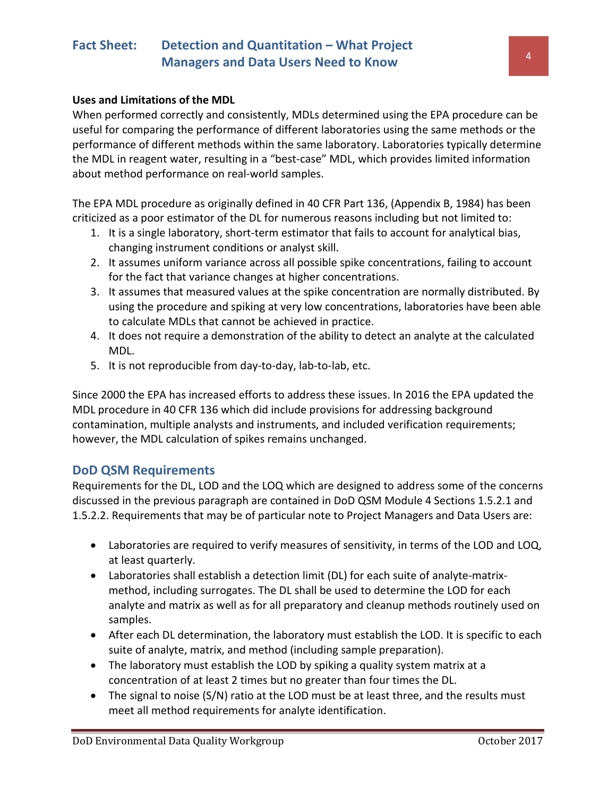#### **Uses and Limitations of the MDL**

When performed correctly and consistently, MDLs determined using the EPA procedure can be useful for comparing the performance of different laboratories using the same methods or the performance of different methods within the same laboratory. Laboratories typically determine the MDL in reagent water, resulting in a "best-case" MDL, which provides limited information about method performance on real-world samples.

The EPA MDL procedure as originally defined in 40 CFR Part 136, (Appendix B, 1984) has been criticized as a poor estimator of the DL for numerous reasons including but not limited to:

- 1. It is a single laboratory, short-term estimator that fails to account for analytical bias, changing instrument conditions or analyst skill.
- 2. It assumes uniform variance across all possible spike concentrations, failing to account for the fact that variance changes at higher concentrations.
- 3. It assumes that measured values at the spike concentration are normally distributed. By using the procedure and spiking at very low concentrations, laboratories have been able to calculate MDLs that cannot be achieved in practice.
- 4. It does not require a demonstration of the ability to detect an analyte at the calculated MDL.
- 5. It is not reproducible from day-to-day, lab-to-lab, etc.

Since 2000 the EPA has increased efforts to address these issues. In 2016 the EPA updated the MDL procedure in 40 CFR 136 which did include provisions for addressing background contamination, multiple analysts and instruments, and included verification requirements; however, the MDL calculation of spikes remains unchanged.

#### **DoD QSM Requirements**

Requirements for the DL, LOD and the LOQ which are designed to address some of the concerns discussed in the previous paragraph are contained in DoD QSM Module 4 Sections 1.5.2.1 and 1.5.2.2. Requirements that may be of particular note to Project Managers and Data Users are:

- Laboratories are required to verify measures of sensitivity, in terms of the LOD and LOQ, at least quarterly.
- Laboratories shall establish a detection limit (DL) for each suite of analyte-matrixmethod, including surrogates. The DL shall be used to determine the LOD for each analyte and matrix as well as for all preparatory and cleanup methods routinely used on samples.
- After each DL determination, the laboratory must establish the LOD. It is specific to each suite of analyte, matrix, and method (including sample preparation).
- The laboratory must establish the LOD by spiking a quality system matrix at a concentration of at least 2 times but no greater than four times the DL.
- The signal to noise (S/N) ratio at the LOD must be at least three, and the results must meet all method requirements for analyte identification.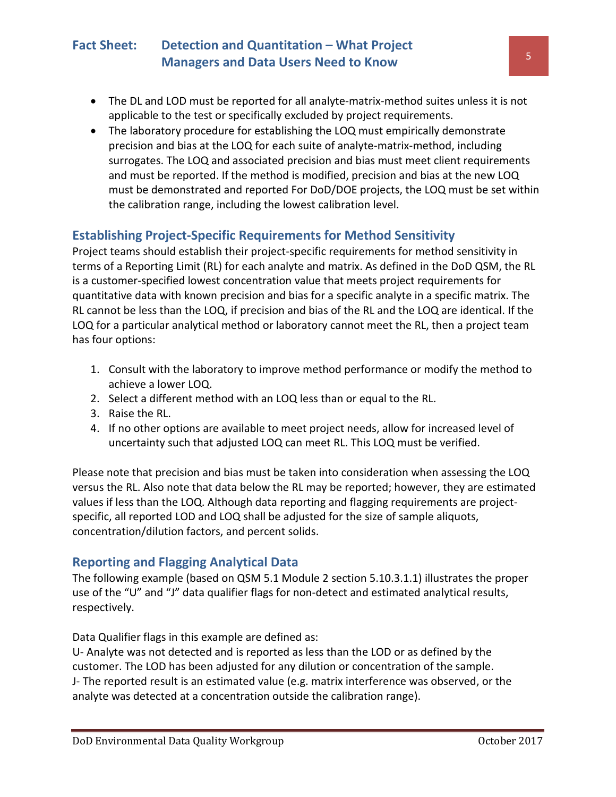- The DL and LOD must be reported for all analyte-matrix-method suites unless it is not applicable to the test or specifically excluded by project requirements.
- The laboratory procedure for establishing the LOQ must empirically demonstrate precision and bias at the LOQ for each suite of analyte-matrix-method, including surrogates. The LOQ and associated precision and bias must meet client requirements and must be reported. If the method is modified, precision and bias at the new LOQ must be demonstrated and reported For DoD/DOE projects, the LOQ must be set within the calibration range, including the lowest calibration level.

## **Establishing Project-Specific Requirements for Method Sensitivity**

Project teams should establish their project-specific requirements for method sensitivity in terms of a Reporting Limit (RL) for each analyte and matrix. As defined in the DoD QSM, the RL is a customer-specified lowest concentration value that meets project requirements for quantitative data with known precision and bias for a specific analyte in a specific matrix. The RL cannot be less than the LOQ, if precision and bias of the RL and the LOQ are identical. If the LOQ for a particular analytical method or laboratory cannot meet the RL, then a project team has four options:

- 1. Consult with the laboratory to improve method performance or modify the method to achieve a lower LOQ.
- 2. Select a different method with an LOQ less than or equal to the RL.
- 3. Raise the RL.
- 4. If no other options are available to meet project needs, allow for increased level of uncertainty such that adjusted LOQ can meet RL. This LOQ must be verified.

Please note that precision and bias must be taken into consideration when assessing the LOQ versus the RL. Also note that data below the RL may be reported; however, they are estimated values if less than the LOQ. Although data reporting and flagging requirements are projectspecific, all reported LOD and LOQ shall be adjusted for the size of sample aliquots, concentration/dilution factors, and percent solids.

### **Reporting and Flagging Analytical Data**

The following example (based on QSM 5.1 Module 2 section 5.10.3.1.1) illustrates the proper use of the "U" and "J" data qualifier flags for non-detect and estimated analytical results, respectively.

Data Qualifier flags in this example are defined as:

U- Analyte was not detected and is reported as less than the LOD or as defined by the customer. The LOD has been adjusted for any dilution or concentration of the sample. J- The reported result is an estimated value (e.g. matrix interference was observed, or the analyte was detected at a concentration outside the calibration range).